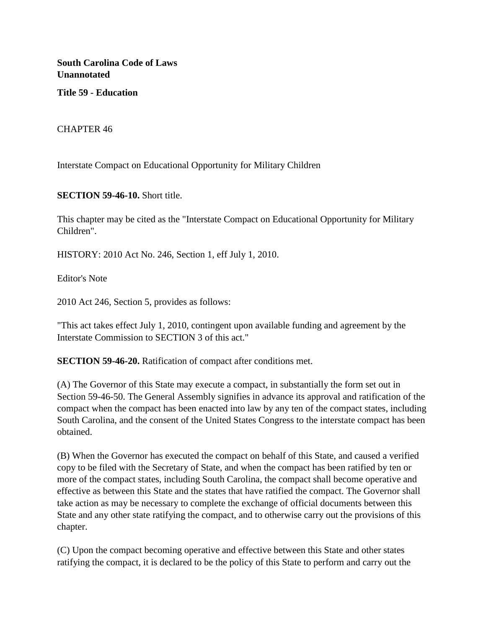**South Carolina Code of Laws Unannotated**

**Title 59 - Education**

CHAPTER 46

Interstate Compact on Educational Opportunity for Military Children

**SECTION 59-46-10.** Short title.

This chapter may be cited as the "Interstate Compact on Educational Opportunity for Military Children".

HISTORY: 2010 Act No. 246, Section 1, eff July 1, 2010.

Editor's Note

2010 Act 246, Section 5, provides as follows:

"This act takes effect July 1, 2010, contingent upon available funding and agreement by the Interstate Commission to SECTION 3 of this act."

**SECTION 59-46-20.** Ratification of compact after conditions met.

(A) The Governor of this State may execute a compact, in substantially the form set out in Section 59-46-50. The General Assembly signifies in advance its approval and ratification of the compact when the compact has been enacted into law by any ten of the compact states, including South Carolina, and the consent of the United States Congress to the interstate compact has been obtained.

(B) When the Governor has executed the compact on behalf of this State, and caused a verified copy to be filed with the Secretary of State, and when the compact has been ratified by ten or more of the compact states, including South Carolina, the compact shall become operative and effective as between this State and the states that have ratified the compact. The Governor shall take action as may be necessary to complete the exchange of official documents between this State and any other state ratifying the compact, and to otherwise carry out the provisions of this chapter.

(C) Upon the compact becoming operative and effective between this State and other states ratifying the compact, it is declared to be the policy of this State to perform and carry out the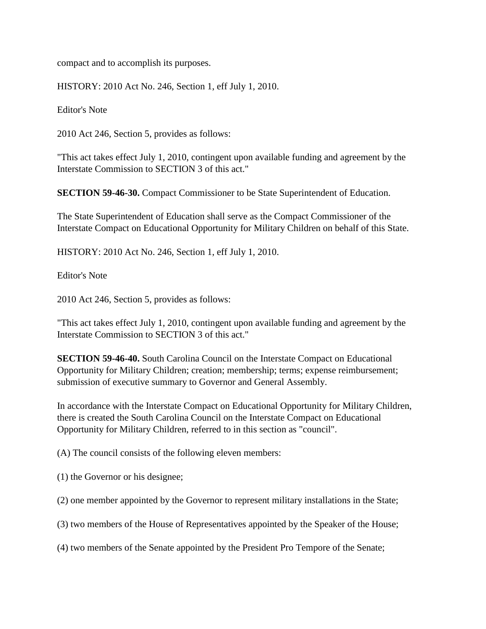compact and to accomplish its purposes.

HISTORY: 2010 Act No. 246, Section 1, eff July 1, 2010.

Editor's Note

2010 Act 246, Section 5, provides as follows:

"This act takes effect July 1, 2010, contingent upon available funding and agreement by the Interstate Commission to SECTION 3 of this act."

**SECTION 59-46-30.** Compact Commissioner to be State Superintendent of Education.

The State Superintendent of Education shall serve as the Compact Commissioner of the Interstate Compact on Educational Opportunity for Military Children on behalf of this State.

HISTORY: 2010 Act No. 246, Section 1, eff July 1, 2010.

Editor's Note

2010 Act 246, Section 5, provides as follows:

"This act takes effect July 1, 2010, contingent upon available funding and agreement by the Interstate Commission to SECTION 3 of this act."

**SECTION 59-46-40.** South Carolina Council on the Interstate Compact on Educational Opportunity for Military Children; creation; membership; terms; expense reimbursement; submission of executive summary to Governor and General Assembly.

In accordance with the Interstate Compact on Educational Opportunity for Military Children, there is created the South Carolina Council on the Interstate Compact on Educational Opportunity for Military Children, referred to in this section as "council".

(A) The council consists of the following eleven members:

(1) the Governor or his designee;

(2) one member appointed by the Governor to represent military installations in the State;

(3) two members of the House of Representatives appointed by the Speaker of the House;

(4) two members of the Senate appointed by the President Pro Tempore of the Senate;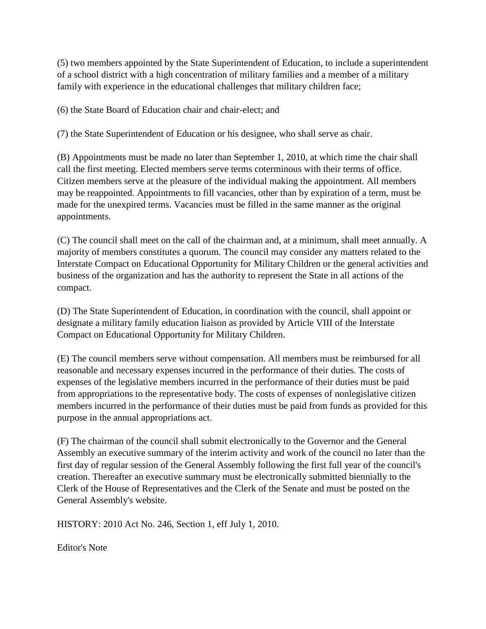(5) two members appointed by the State Superintendent of Education, to include a superintendent of a school district with a high concentration of military families and a member of a military family with experience in the educational challenges that military children face;

(6) the State Board of Education chair and chair-elect; and

(7) the State Superintendent of Education or his designee, who shall serve as chair.

(B) Appointments must be made no later than September 1, 2010, at which time the chair shall call the first meeting. Elected members serve terms coterminous with their terms of office. Citizen members serve at the pleasure of the individual making the appointment. All members may be reappointed. Appointments to fill vacancies, other than by expiration of a term, must be made for the unexpired terms. Vacancies must be filled in the same manner as the original appointments.

(C) The council shall meet on the call of the chairman and, at a minimum, shall meet annually. A majority of members constitutes a quorum. The council may consider any matters related to the Interstate Compact on Educational Opportunity for Military Children or the general activities and business of the organization and has the authority to represent the State in all actions of the compact.

(D) The State Superintendent of Education, in coordination with the council, shall appoint or designate a military family education liaison as provided by Article VIII of the Interstate Compact on Educational Opportunity for Military Children.

(E) The council members serve without compensation. All members must be reimbursed for all reasonable and necessary expenses incurred in the performance of their duties. The costs of expenses of the legislative members incurred in the performance of their duties must be paid from appropriations to the representative body. The costs of expenses of nonlegislative citizen members incurred in the performance of their duties must be paid from funds as provided for this purpose in the annual appropriations act.

(F) The chairman of the council shall submit electronically to the Governor and the General Assembly an executive summary of the interim activity and work of the council no later than the first day of regular session of the General Assembly following the first full year of the council's creation. Thereafter an executive summary must be electronically submitted biennially to the Clerk of the House of Representatives and the Clerk of the Senate and must be posted on the General Assembly's website.

HISTORY: 2010 Act No. 246, Section 1, eff July 1, 2010.

Editor's Note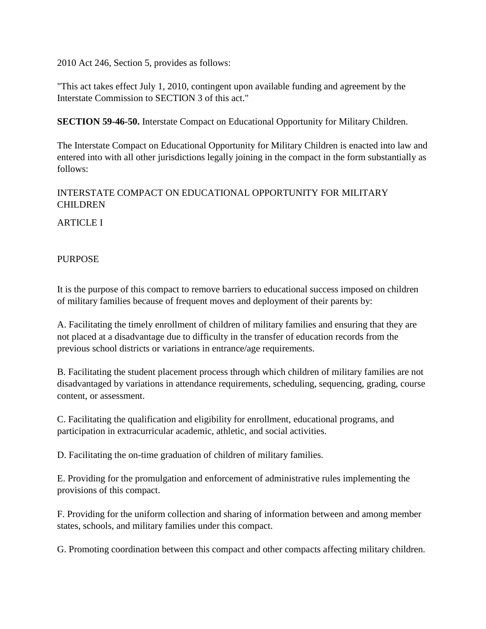2010 Act 246, Section 5, provides as follows:

"This act takes effect July 1, 2010, contingent upon available funding and agreement by the Interstate Commission to SECTION 3 of this act."

**SECTION 59-46-50.** Interstate Compact on Educational Opportunity for Military Children.

The Interstate Compact on Educational Opportunity for Military Children is enacted into law and entered into with all other jurisdictions legally joining in the compact in the form substantially as follows:

# INTERSTATE COMPACT ON EDUCATIONAL OPPORTUNITY FOR MILITARY CHILDREN

**ARTICLE I** 

### PURPOSE

It is the purpose of this compact to remove barriers to educational success imposed on children of military families because of frequent moves and deployment of their parents by:

A. Facilitating the timely enrollment of children of military families and ensuring that they are not placed at a disadvantage due to difficulty in the transfer of education records from the previous school districts or variations in entrance/age requirements.

B. Facilitating the student placement process through which children of military families are not disadvantaged by variations in attendance requirements, scheduling, sequencing, grading, course content, or assessment.

C. Facilitating the qualification and eligibility for enrollment, educational programs, and participation in extracurricular academic, athletic, and social activities.

D. Facilitating the on-time graduation of children of military families.

E. Providing for the promulgation and enforcement of administrative rules implementing the provisions of this compact.

F. Providing for the uniform collection and sharing of information between and among member states, schools, and military families under this compact.

G. Promoting coordination between this compact and other compacts affecting military children.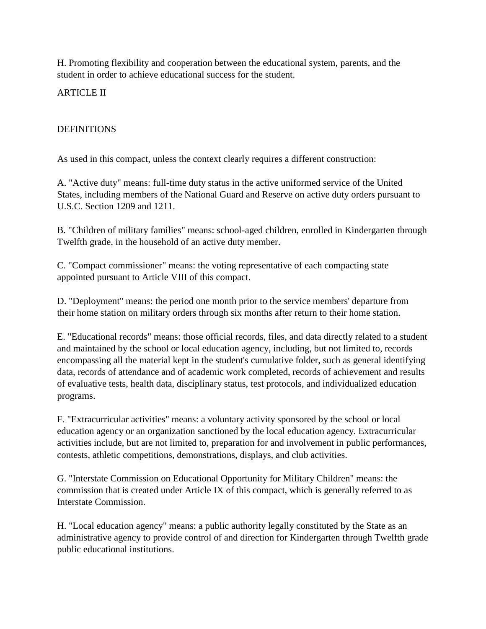H. Promoting flexibility and cooperation between the educational system, parents, and the student in order to achieve educational success for the student.

## ARTICLE II

## **DEFINITIONS**

As used in this compact, unless the context clearly requires a different construction:

A. "Active duty" means: full-time duty status in the active uniformed service of the United States, including members of the National Guard and Reserve on active duty orders pursuant to U.S.C. Section 1209 and 1211.

B. "Children of military families" means: school-aged children, enrolled in Kindergarten through Twelfth grade, in the household of an active duty member.

C. "Compact commissioner" means: the voting representative of each compacting state appointed pursuant to Article VIII of this compact.

D. "Deployment" means: the period one month prior to the service members' departure from their home station on military orders through six months after return to their home station.

E. "Educational records" means: those official records, files, and data directly related to a student and maintained by the school or local education agency, including, but not limited to, records encompassing all the material kept in the student's cumulative folder, such as general identifying data, records of attendance and of academic work completed, records of achievement and results of evaluative tests, health data, disciplinary status, test protocols, and individualized education programs.

F. "Extracurricular activities" means: a voluntary activity sponsored by the school or local education agency or an organization sanctioned by the local education agency. Extracurricular activities include, but are not limited to, preparation for and involvement in public performances, contests, athletic competitions, demonstrations, displays, and club activities.

G. "Interstate Commission on Educational Opportunity for Military Children" means: the commission that is created under Article IX of this compact, which is generally referred to as Interstate Commission.

H. "Local education agency" means: a public authority legally constituted by the State as an administrative agency to provide control of and direction for Kindergarten through Twelfth grade public educational institutions.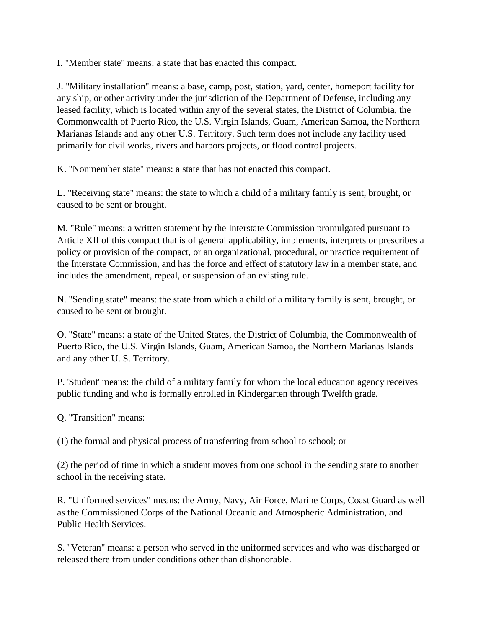I. "Member state" means: a state that has enacted this compact.

J. "Military installation" means: a base, camp, post, station, yard, center, homeport facility for any ship, or other activity under the jurisdiction of the Department of Defense, including any leased facility, which is located within any of the several states, the District of Columbia, the Commonwealth of Puerto Rico, the U.S. Virgin Islands, Guam, American Samoa, the Northern Marianas Islands and any other U.S. Territory. Such term does not include any facility used primarily for civil works, rivers and harbors projects, or flood control projects.

K. "Nonmember state" means: a state that has not enacted this compact.

L. "Receiving state" means: the state to which a child of a military family is sent, brought, or caused to be sent or brought.

M. "Rule" means: a written statement by the Interstate Commission promulgated pursuant to Article XII of this compact that is of general applicability, implements, interprets or prescribes a policy or provision of the compact, or an organizational, procedural, or practice requirement of the Interstate Commission, and has the force and effect of statutory law in a member state, and includes the amendment, repeal, or suspension of an existing rule.

N. "Sending state" means: the state from which a child of a military family is sent, brought, or caused to be sent or brought.

O. "State" means: a state of the United States, the District of Columbia, the Commonwealth of Puerto Rico, the U.S. Virgin Islands, Guam, American Samoa, the Northern Marianas Islands and any other U. S. Territory.

P. 'Student' means: the child of a military family for whom the local education agency receives public funding and who is formally enrolled in Kindergarten through Twelfth grade.

Q. "Transition" means:

(1) the formal and physical process of transferring from school to school; or

(2) the period of time in which a student moves from one school in the sending state to another school in the receiving state.

R. "Uniformed services" means: the Army, Navy, Air Force, Marine Corps, Coast Guard as well as the Commissioned Corps of the National Oceanic and Atmospheric Administration, and Public Health Services.

S. "Veteran" means: a person who served in the uniformed services and who was discharged or released there from under conditions other than dishonorable.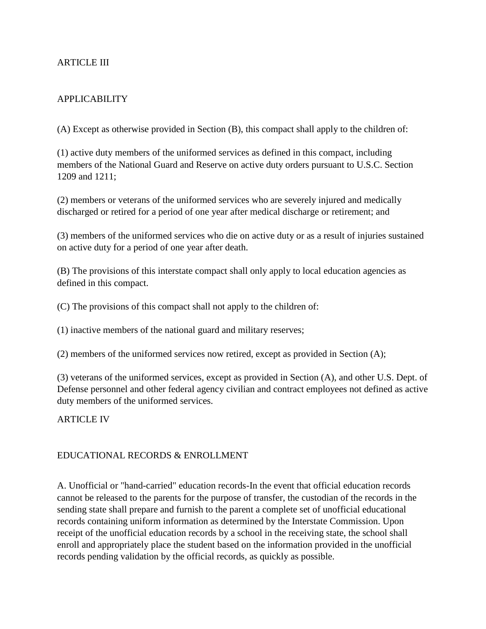#### ARTICLE III

#### APPLICABILITY

(A) Except as otherwise provided in Section (B), this compact shall apply to the children of:

(1) active duty members of the uniformed services as defined in this compact, including members of the National Guard and Reserve on active duty orders pursuant to U.S.C. Section 1209 and 1211;

(2) members or veterans of the uniformed services who are severely injured and medically discharged or retired for a period of one year after medical discharge or retirement; and

(3) members of the uniformed services who die on active duty or as a result of injuries sustained on active duty for a period of one year after death.

(B) The provisions of this interstate compact shall only apply to local education agencies as defined in this compact.

(C) The provisions of this compact shall not apply to the children of:

(1) inactive members of the national guard and military reserves;

(2) members of the uniformed services now retired, except as provided in Section (A);

(3) veterans of the uniformed services, except as provided in Section (A), and other U.S. Dept. of Defense personnel and other federal agency civilian and contract employees not defined as active duty members of the uniformed services.

ARTICLE IV

#### EDUCATIONAL RECORDS & ENROLLMENT

A. Unofficial or "hand-carried" education records-In the event that official education records cannot be released to the parents for the purpose of transfer, the custodian of the records in the sending state shall prepare and furnish to the parent a complete set of unofficial educational records containing uniform information as determined by the Interstate Commission. Upon receipt of the unofficial education records by a school in the receiving state, the school shall enroll and appropriately place the student based on the information provided in the unofficial records pending validation by the official records, as quickly as possible.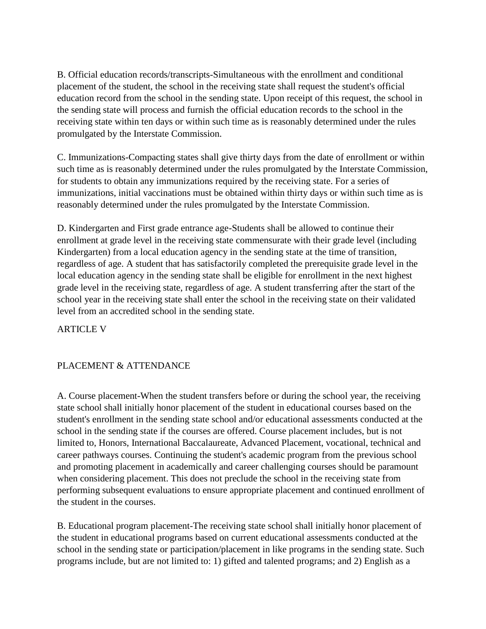B. Official education records/transcripts-Simultaneous with the enrollment and conditional placement of the student, the school in the receiving state shall request the student's official education record from the school in the sending state. Upon receipt of this request, the school in the sending state will process and furnish the official education records to the school in the receiving state within ten days or within such time as is reasonably determined under the rules promulgated by the Interstate Commission.

C. Immunizations-Compacting states shall give thirty days from the date of enrollment or within such time as is reasonably determined under the rules promulgated by the Interstate Commission, for students to obtain any immunizations required by the receiving state. For a series of immunizations, initial vaccinations must be obtained within thirty days or within such time as is reasonably determined under the rules promulgated by the Interstate Commission.

D. Kindergarten and First grade entrance age-Students shall be allowed to continue their enrollment at grade level in the receiving state commensurate with their grade level (including Kindergarten) from a local education agency in the sending state at the time of transition, regardless of age. A student that has satisfactorily completed the prerequisite grade level in the local education agency in the sending state shall be eligible for enrollment in the next highest grade level in the receiving state, regardless of age. A student transferring after the start of the school year in the receiving state shall enter the school in the receiving state on their validated level from an accredited school in the sending state.

ARTICLE V

### PLACEMENT & ATTENDANCE

A. Course placement-When the student transfers before or during the school year, the receiving state school shall initially honor placement of the student in educational courses based on the student's enrollment in the sending state school and/or educational assessments conducted at the school in the sending state if the courses are offered. Course placement includes, but is not limited to, Honors, International Baccalaureate, Advanced Placement, vocational, technical and career pathways courses. Continuing the student's academic program from the previous school and promoting placement in academically and career challenging courses should be paramount when considering placement. This does not preclude the school in the receiving state from performing subsequent evaluations to ensure appropriate placement and continued enrollment of the student in the courses.

B. Educational program placement-The receiving state school shall initially honor placement of the student in educational programs based on current educational assessments conducted at the school in the sending state or participation/placement in like programs in the sending state. Such programs include, but are not limited to: 1) gifted and talented programs; and 2) English as a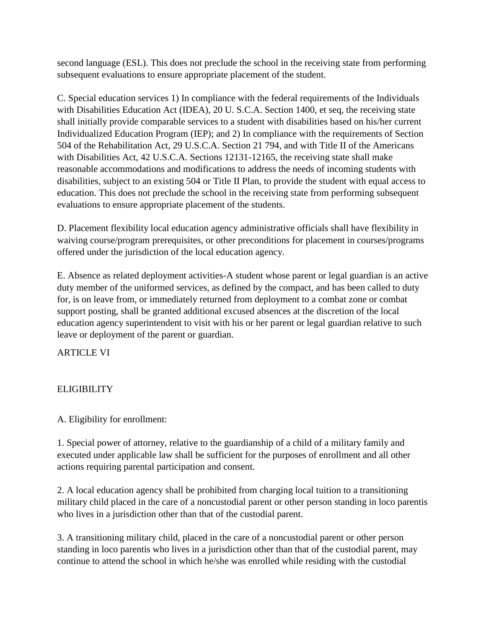second language (ESL). This does not preclude the school in the receiving state from performing subsequent evaluations to ensure appropriate placement of the student.

C. Special education services 1) In compliance with the federal requirements of the Individuals with Disabilities Education Act (IDEA), 20 U. S.C.A. Section 1400, et seq, the receiving state shall initially provide comparable services to a student with disabilities based on his/her current Individualized Education Program (IEP); and 2) In compliance with the requirements of Section 504 of the Rehabilitation Act, 29 U.S.C.A. Section 21 794, and with Title II of the Americans with Disabilities Act, 42 U.S.C.A. Sections 12131-12165, the receiving state shall make reasonable accommodations and modifications to address the needs of incoming students with disabilities, subject to an existing 504 or Title II Plan, to provide the student with equal access to education. This does not preclude the school in the receiving state from performing subsequent evaluations to ensure appropriate placement of the students.

D. Placement flexibility local education agency administrative officials shall have flexibility in waiving course/program prerequisites, or other preconditions for placement in courses/programs offered under the jurisdiction of the local education agency.

E. Absence as related deployment activities-A student whose parent or legal guardian is an active duty member of the uniformed services, as defined by the compact, and has been called to duty for, is on leave from, or immediately returned from deployment to a combat zone or combat support posting, shall be granted additional excused absences at the discretion of the local education agency superintendent to visit with his or her parent or legal guardian relative to such leave or deployment of the parent or guardian.

ARTICLE VI

# **ELIGIBILITY**

A. Eligibility for enrollment:

1. Special power of attorney, relative to the guardianship of a child of a military family and executed under applicable law shall be sufficient for the purposes of enrollment and all other actions requiring parental participation and consent.

2. A local education agency shall be prohibited from charging local tuition to a transitioning military child placed in the care of a noncustodial parent or other person standing in loco parentis who lives in a jurisdiction other than that of the custodial parent.

3. A transitioning military child, placed in the care of a noncustodial parent or other person standing in loco parentis who lives in a jurisdiction other than that of the custodial parent, may continue to attend the school in which he/she was enrolled while residing with the custodial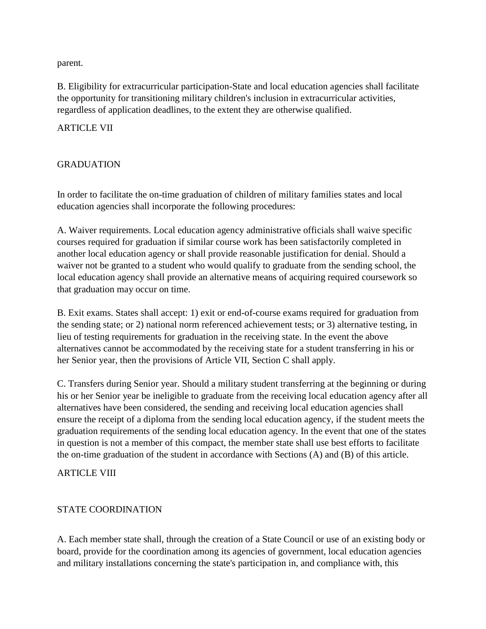parent.

B. Eligibility for extracurricular participation-State and local education agencies shall facilitate the opportunity for transitioning military children's inclusion in extracurricular activities, regardless of application deadlines, to the extent they are otherwise qualified.

#### ARTICLE VII

#### **GRADUATION**

In order to facilitate the on-time graduation of children of military families states and local education agencies shall incorporate the following procedures:

A. Waiver requirements. Local education agency administrative officials shall waive specific courses required for graduation if similar course work has been satisfactorily completed in another local education agency or shall provide reasonable justification for denial. Should a waiver not be granted to a student who would qualify to graduate from the sending school, the local education agency shall provide an alternative means of acquiring required coursework so that graduation may occur on time.

B. Exit exams. States shall accept: 1) exit or end-of-course exams required for graduation from the sending state; or 2) national norm referenced achievement tests; or 3) alternative testing, in lieu of testing requirements for graduation in the receiving state. In the event the above alternatives cannot be accommodated by the receiving state for a student transferring in his or her Senior year, then the provisions of Article VII, Section C shall apply.

C. Transfers during Senior year. Should a military student transferring at the beginning or during his or her Senior year be ineligible to graduate from the receiving local education agency after all alternatives have been considered, the sending and receiving local education agencies shall ensure the receipt of a diploma from the sending local education agency, if the student meets the graduation requirements of the sending local education agency. In the event that one of the states in question is not a member of this compact, the member state shall use best efforts to facilitate the on-time graduation of the student in accordance with Sections (A) and (B) of this article.

ARTICLE VIII

### STATE COORDINATION

A. Each member state shall, through the creation of a State Council or use of an existing body or board, provide for the coordination among its agencies of government, local education agencies and military installations concerning the state's participation in, and compliance with, this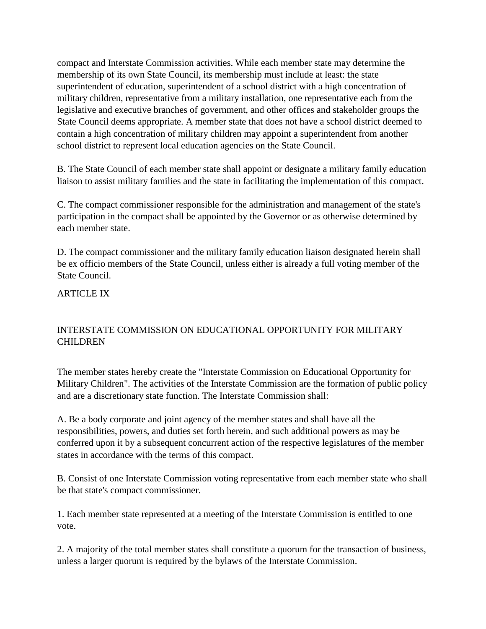compact and Interstate Commission activities. While each member state may determine the membership of its own State Council, its membership must include at least: the state superintendent of education, superintendent of a school district with a high concentration of military children, representative from a military installation, one representative each from the legislative and executive branches of government, and other offices and stakeholder groups the State Council deems appropriate. A member state that does not have a school district deemed to contain a high concentration of military children may appoint a superintendent from another school district to represent local education agencies on the State Council.

B. The State Council of each member state shall appoint or designate a military family education liaison to assist military families and the state in facilitating the implementation of this compact.

C. The compact commissioner responsible for the administration and management of the state's participation in the compact shall be appointed by the Governor or as otherwise determined by each member state.

D. The compact commissioner and the military family education liaison designated herein shall be ex officio members of the State Council, unless either is already a full voting member of the State Council.

### **ARTICLE IX**

# INTERSTATE COMMISSION ON EDUCATIONAL OPPORTUNITY FOR MILITARY **CHILDREN**

The member states hereby create the "Interstate Commission on Educational Opportunity for Military Children". The activities of the Interstate Commission are the formation of public policy and are a discretionary state function. The Interstate Commission shall:

A. Be a body corporate and joint agency of the member states and shall have all the responsibilities, powers, and duties set forth herein, and such additional powers as may be conferred upon it by a subsequent concurrent action of the respective legislatures of the member states in accordance with the terms of this compact.

B. Consist of one Interstate Commission voting representative from each member state who shall be that state's compact commissioner.

1. Each member state represented at a meeting of the Interstate Commission is entitled to one vote.

2. A majority of the total member states shall constitute a quorum for the transaction of business, unless a larger quorum is required by the bylaws of the Interstate Commission.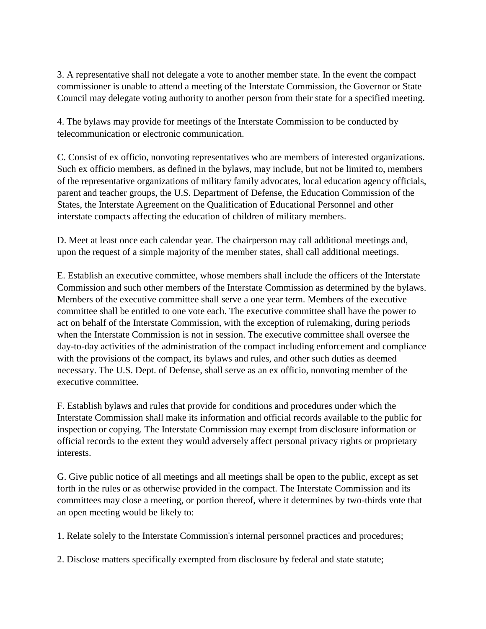3. A representative shall not delegate a vote to another member state. In the event the compact commissioner is unable to attend a meeting of the Interstate Commission, the Governor or State Council may delegate voting authority to another person from their state for a specified meeting.

4. The bylaws may provide for meetings of the Interstate Commission to be conducted by telecommunication or electronic communication.

C. Consist of ex officio, nonvoting representatives who are members of interested organizations. Such ex officio members, as defined in the bylaws, may include, but not be limited to, members of the representative organizations of military family advocates, local education agency officials, parent and teacher groups, the U.S. Department of Defense, the Education Commission of the States, the Interstate Agreement on the Qualification of Educational Personnel and other interstate compacts affecting the education of children of military members.

D. Meet at least once each calendar year. The chairperson may call additional meetings and, upon the request of a simple majority of the member states, shall call additional meetings.

E. Establish an executive committee, whose members shall include the officers of the Interstate Commission and such other members of the Interstate Commission as determined by the bylaws. Members of the executive committee shall serve a one year term. Members of the executive committee shall be entitled to one vote each. The executive committee shall have the power to act on behalf of the Interstate Commission, with the exception of rulemaking, during periods when the Interstate Commission is not in session. The executive committee shall oversee the day-to-day activities of the administration of the compact including enforcement and compliance with the provisions of the compact, its bylaws and rules, and other such duties as deemed necessary. The U.S. Dept. of Defense, shall serve as an ex officio, nonvoting member of the executive committee.

F. Establish bylaws and rules that provide for conditions and procedures under which the Interstate Commission shall make its information and official records available to the public for inspection or copying. The Interstate Commission may exempt from disclosure information or official records to the extent they would adversely affect personal privacy rights or proprietary interests.

G. Give public notice of all meetings and all meetings shall be open to the public, except as set forth in the rules or as otherwise provided in the compact. The Interstate Commission and its committees may close a meeting, or portion thereof, where it determines by two-thirds vote that an open meeting would be likely to:

1. Relate solely to the Interstate Commission's internal personnel practices and procedures;

2. Disclose matters specifically exempted from disclosure by federal and state statute;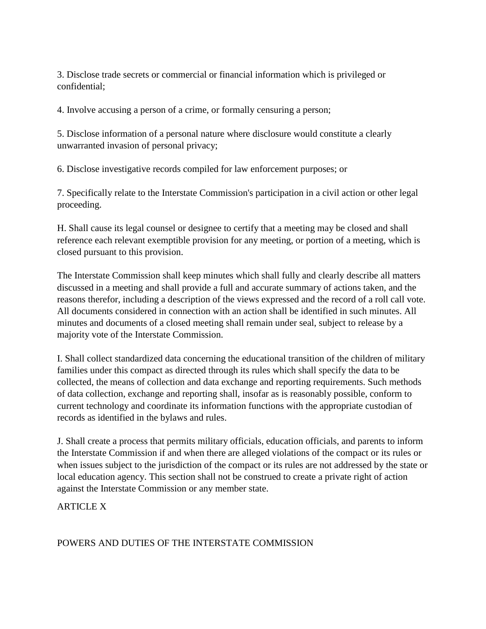3. Disclose trade secrets or commercial or financial information which is privileged or confidential;

4. Involve accusing a person of a crime, or formally censuring a person;

5. Disclose information of a personal nature where disclosure would constitute a clearly unwarranted invasion of personal privacy;

6. Disclose investigative records compiled for law enforcement purposes; or

7. Specifically relate to the Interstate Commission's participation in a civil action or other legal proceeding.

H. Shall cause its legal counsel or designee to certify that a meeting may be closed and shall reference each relevant exemptible provision for any meeting, or portion of a meeting, which is closed pursuant to this provision.

The Interstate Commission shall keep minutes which shall fully and clearly describe all matters discussed in a meeting and shall provide a full and accurate summary of actions taken, and the reasons therefor, including a description of the views expressed and the record of a roll call vote. All documents considered in connection with an action shall be identified in such minutes. All minutes and documents of a closed meeting shall remain under seal, subject to release by a majority vote of the Interstate Commission.

I. Shall collect standardized data concerning the educational transition of the children of military families under this compact as directed through its rules which shall specify the data to be collected, the means of collection and data exchange and reporting requirements. Such methods of data collection, exchange and reporting shall, insofar as is reasonably possible, conform to current technology and coordinate its information functions with the appropriate custodian of records as identified in the bylaws and rules.

J. Shall create a process that permits military officials, education officials, and parents to inform the Interstate Commission if and when there are alleged violations of the compact or its rules or when issues subject to the jurisdiction of the compact or its rules are not addressed by the state or local education agency. This section shall not be construed to create a private right of action against the Interstate Commission or any member state.

ARTICLE X

POWERS AND DUTIES OF THE INTERSTATE COMMISSION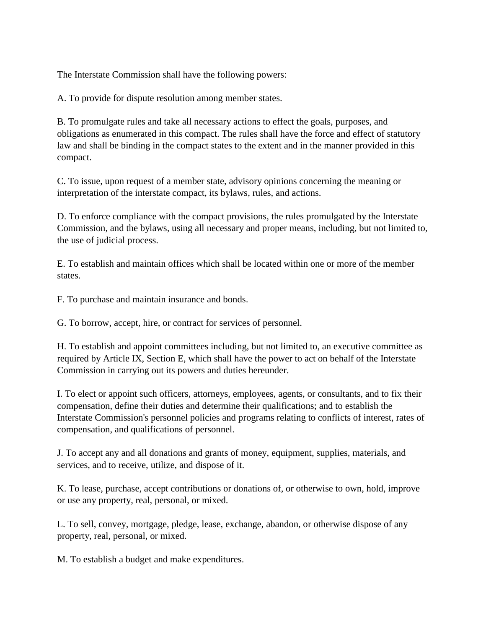The Interstate Commission shall have the following powers:

A. To provide for dispute resolution among member states.

B. To promulgate rules and take all necessary actions to effect the goals, purposes, and obligations as enumerated in this compact. The rules shall have the force and effect of statutory law and shall be binding in the compact states to the extent and in the manner provided in this compact.

C. To issue, upon request of a member state, advisory opinions concerning the meaning or interpretation of the interstate compact, its bylaws, rules, and actions.

D. To enforce compliance with the compact provisions, the rules promulgated by the Interstate Commission, and the bylaws, using all necessary and proper means, including, but not limited to, the use of judicial process.

E. To establish and maintain offices which shall be located within one or more of the member states.

F. To purchase and maintain insurance and bonds.

G. To borrow, accept, hire, or contract for services of personnel.

H. To establish and appoint committees including, but not limited to, an executive committee as required by Article IX, Section E, which shall have the power to act on behalf of the Interstate Commission in carrying out its powers and duties hereunder.

I. To elect or appoint such officers, attorneys, employees, agents, or consultants, and to fix their compensation, define their duties and determine their qualifications; and to establish the Interstate Commission's personnel policies and programs relating to conflicts of interest, rates of compensation, and qualifications of personnel.

J. To accept any and all donations and grants of money, equipment, supplies, materials, and services, and to receive, utilize, and dispose of it.

K. To lease, purchase, accept contributions or donations of, or otherwise to own, hold, improve or use any property, real, personal, or mixed.

L. To sell, convey, mortgage, pledge, lease, exchange, abandon, or otherwise dispose of any property, real, personal, or mixed.

M. To establish a budget and make expenditures.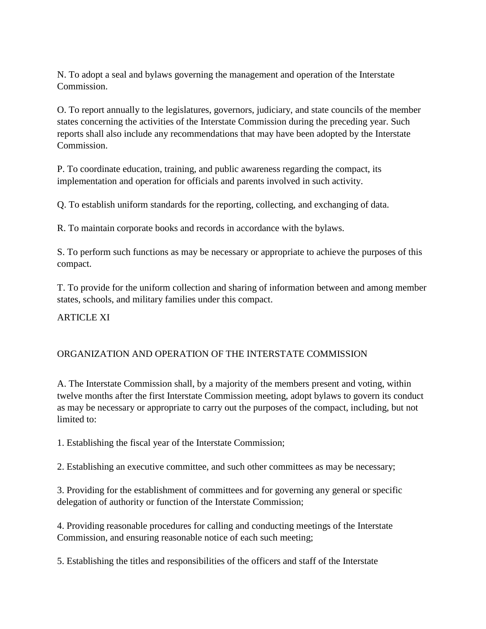N. To adopt a seal and bylaws governing the management and operation of the Interstate Commission.

O. To report annually to the legislatures, governors, judiciary, and state councils of the member states concerning the activities of the Interstate Commission during the preceding year. Such reports shall also include any recommendations that may have been adopted by the Interstate Commission.

P. To coordinate education, training, and public awareness regarding the compact, its implementation and operation for officials and parents involved in such activity.

Q. To establish uniform standards for the reporting, collecting, and exchanging of data.

R. To maintain corporate books and records in accordance with the bylaws.

S. To perform such functions as may be necessary or appropriate to achieve the purposes of this compact.

T. To provide for the uniform collection and sharing of information between and among member states, schools, and military families under this compact.

ARTICLE XI

# ORGANIZATION AND OPERATION OF THE INTERSTATE COMMISSION

A. The Interstate Commission shall, by a majority of the members present and voting, within twelve months after the first Interstate Commission meeting, adopt bylaws to govern its conduct as may be necessary or appropriate to carry out the purposes of the compact, including, but not limited to:

1. Establishing the fiscal year of the Interstate Commission;

2. Establishing an executive committee, and such other committees as may be necessary;

3. Providing for the establishment of committees and for governing any general or specific delegation of authority or function of the Interstate Commission;

4. Providing reasonable procedures for calling and conducting meetings of the Interstate Commission, and ensuring reasonable notice of each such meeting;

5. Establishing the titles and responsibilities of the officers and staff of the Interstate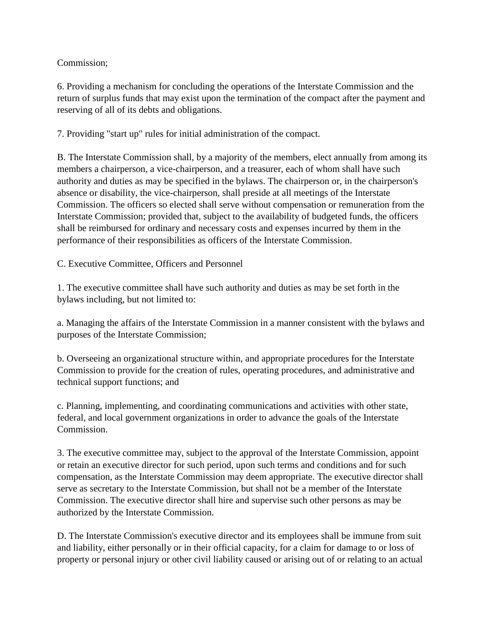### Commission;

6. Providing a mechanism for concluding the operations of the Interstate Commission and the return of surplus funds that may exist upon the termination of the compact after the payment and reserving of all of its debts and obligations.

7. Providing "start up" rules for initial administration of the compact.

B. The Interstate Commission shall, by a majority of the members, elect annually from among its members a chairperson, a vice-chairperson, and a treasurer, each of whom shall have such authority and duties as may be specified in the bylaws. The chairperson or, in the chairperson's absence or disability, the vice-chairperson, shall preside at all meetings of the Interstate Commission. The officers so elected shall serve without compensation or remuneration from the Interstate Commission; provided that, subject to the availability of budgeted funds, the officers shall be reimbursed for ordinary and necessary costs and expenses incurred by them in the performance of their responsibilities as officers of the Interstate Commission.

C. Executive Committee, Officers and Personnel

1. The executive committee shall have such authority and duties as may be set forth in the bylaws including, but not limited to:

a. Managing the affairs of the Interstate Commission in a manner consistent with the bylaws and purposes of the Interstate Commission;

b. Overseeing an organizational structure within, and appropriate procedures for the Interstate Commission to provide for the creation of rules, operating procedures, and administrative and technical support functions; and

c. Planning, implementing, and coordinating communications and activities with other state, federal, and local government organizations in order to advance the goals of the Interstate Commission.

3. The executive committee may, subject to the approval of the Interstate Commission, appoint or retain an executive director for such period, upon such terms and conditions and for such compensation, as the Interstate Commission may deem appropriate. The executive director shall serve as secretary to the Interstate Commission, but shall not be a member of the Interstate Commission. The executive director shall hire and supervise such other persons as may be authorized by the Interstate Commission.

D. The Interstate Commission's executive director and its employees shall be immune from suit and liability, either personally or in their official capacity, for a claim for damage to or loss of property or personal injury or other civil liability caused or arising out of or relating to an actual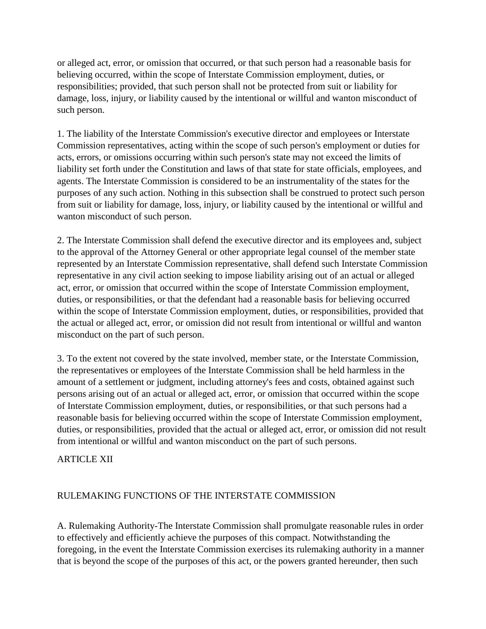or alleged act, error, or omission that occurred, or that such person had a reasonable basis for believing occurred, within the scope of Interstate Commission employment, duties, or responsibilities; provided, that such person shall not be protected from suit or liability for damage, loss, injury, or liability caused by the intentional or willful and wanton misconduct of such person.

1. The liability of the Interstate Commission's executive director and employees or Interstate Commission representatives, acting within the scope of such person's employment or duties for acts, errors, or omissions occurring within such person's state may not exceed the limits of liability set forth under the Constitution and laws of that state for state officials, employees, and agents. The Interstate Commission is considered to be an instrumentality of the states for the purposes of any such action. Nothing in this subsection shall be construed to protect such person from suit or liability for damage, loss, injury, or liability caused by the intentional or willful and wanton misconduct of such person.

2. The Interstate Commission shall defend the executive director and its employees and, subject to the approval of the Attorney General or other appropriate legal counsel of the member state represented by an Interstate Commission representative, shall defend such Interstate Commission representative in any civil action seeking to impose liability arising out of an actual or alleged act, error, or omission that occurred within the scope of Interstate Commission employment, duties, or responsibilities, or that the defendant had a reasonable basis for believing occurred within the scope of Interstate Commission employment, duties, or responsibilities, provided that the actual or alleged act, error, or omission did not result from intentional or willful and wanton misconduct on the part of such person.

3. To the extent not covered by the state involved, member state, or the Interstate Commission, the representatives or employees of the Interstate Commission shall be held harmless in the amount of a settlement or judgment, including attorney's fees and costs, obtained against such persons arising out of an actual or alleged act, error, or omission that occurred within the scope of Interstate Commission employment, duties, or responsibilities, or that such persons had a reasonable basis for believing occurred within the scope of Interstate Commission employment, duties, or responsibilities, provided that the actual or alleged act, error, or omission did not result from intentional or willful and wanton misconduct on the part of such persons.

### ARTICLE XII

# RULEMAKING FUNCTIONS OF THE INTERSTATE COMMISSION

A. Rulemaking Authority-The Interstate Commission shall promulgate reasonable rules in order to effectively and efficiently achieve the purposes of this compact. Notwithstanding the foregoing, in the event the Interstate Commission exercises its rulemaking authority in a manner that is beyond the scope of the purposes of this act, or the powers granted hereunder, then such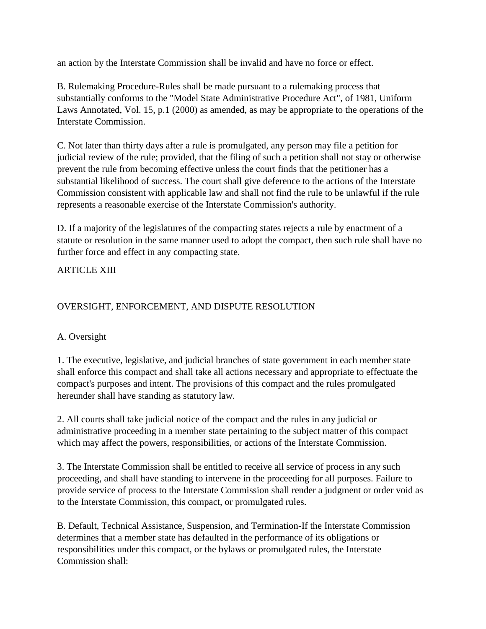an action by the Interstate Commission shall be invalid and have no force or effect.

B. Rulemaking Procedure-Rules shall be made pursuant to a rulemaking process that substantially conforms to the "Model State Administrative Procedure Act", of 1981, Uniform Laws Annotated, Vol. 15, p.1 (2000) as amended, as may be appropriate to the operations of the Interstate Commission.

C. Not later than thirty days after a rule is promulgated, any person may file a petition for judicial review of the rule; provided, that the filing of such a petition shall not stay or otherwise prevent the rule from becoming effective unless the court finds that the petitioner has a substantial likelihood of success. The court shall give deference to the actions of the Interstate Commission consistent with applicable law and shall not find the rule to be unlawful if the rule represents a reasonable exercise of the Interstate Commission's authority.

D. If a majority of the legislatures of the compacting states rejects a rule by enactment of a statute or resolution in the same manner used to adopt the compact, then such rule shall have no further force and effect in any compacting state.

## ARTICLE XIII

## OVERSIGHT, ENFORCEMENT, AND DISPUTE RESOLUTION

### A. Oversight

1. The executive, legislative, and judicial branches of state government in each member state shall enforce this compact and shall take all actions necessary and appropriate to effectuate the compact's purposes and intent. The provisions of this compact and the rules promulgated hereunder shall have standing as statutory law.

2. All courts shall take judicial notice of the compact and the rules in any judicial or administrative proceeding in a member state pertaining to the subject matter of this compact which may affect the powers, responsibilities, or actions of the Interstate Commission.

3. The Interstate Commission shall be entitled to receive all service of process in any such proceeding, and shall have standing to intervene in the proceeding for all purposes. Failure to provide service of process to the Interstate Commission shall render a judgment or order void as to the Interstate Commission, this compact, or promulgated rules.

B. Default, Technical Assistance, Suspension, and Termination-If the Interstate Commission determines that a member state has defaulted in the performance of its obligations or responsibilities under this compact, or the bylaws or promulgated rules, the Interstate Commission shall: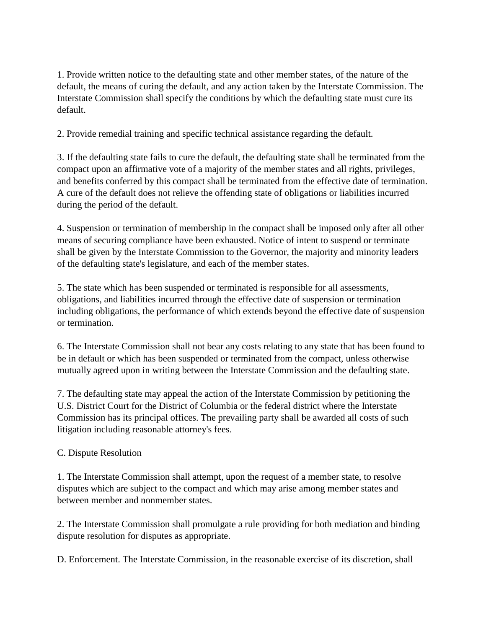1. Provide written notice to the defaulting state and other member states, of the nature of the default, the means of curing the default, and any action taken by the Interstate Commission. The Interstate Commission shall specify the conditions by which the defaulting state must cure its default.

2. Provide remedial training and specific technical assistance regarding the default.

3. If the defaulting state fails to cure the default, the defaulting state shall be terminated from the compact upon an affirmative vote of a majority of the member states and all rights, privileges, and benefits conferred by this compact shall be terminated from the effective date of termination. A cure of the default does not relieve the offending state of obligations or liabilities incurred during the period of the default.

4. Suspension or termination of membership in the compact shall be imposed only after all other means of securing compliance have been exhausted. Notice of intent to suspend or terminate shall be given by the Interstate Commission to the Governor, the majority and minority leaders of the defaulting state's legislature, and each of the member states.

5. The state which has been suspended or terminated is responsible for all assessments, obligations, and liabilities incurred through the effective date of suspension or termination including obligations, the performance of which extends beyond the effective date of suspension or termination.

6. The Interstate Commission shall not bear any costs relating to any state that has been found to be in default or which has been suspended or terminated from the compact, unless otherwise mutually agreed upon in writing between the Interstate Commission and the defaulting state.

7. The defaulting state may appeal the action of the Interstate Commission by petitioning the U.S. District Court for the District of Columbia or the federal district where the Interstate Commission has its principal offices. The prevailing party shall be awarded all costs of such litigation including reasonable attorney's fees.

### C. Dispute Resolution

1. The Interstate Commission shall attempt, upon the request of a member state, to resolve disputes which are subject to the compact and which may arise among member states and between member and nonmember states.

2. The Interstate Commission shall promulgate a rule providing for both mediation and binding dispute resolution for disputes as appropriate.

D. Enforcement. The Interstate Commission, in the reasonable exercise of its discretion, shall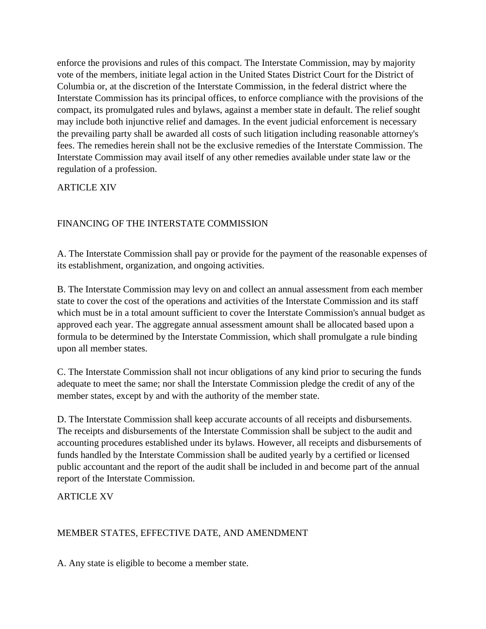enforce the provisions and rules of this compact. The Interstate Commission, may by majority vote of the members, initiate legal action in the United States District Court for the District of Columbia or, at the discretion of the Interstate Commission, in the federal district where the Interstate Commission has its principal offices, to enforce compliance with the provisions of the compact, its promulgated rules and bylaws, against a member state in default. The relief sought may include both injunctive relief and damages. In the event judicial enforcement is necessary the prevailing party shall be awarded all costs of such litigation including reasonable attorney's fees. The remedies herein shall not be the exclusive remedies of the Interstate Commission. The Interstate Commission may avail itself of any other remedies available under state law or the regulation of a profession.

### ARTICLE XIV

# FINANCING OF THE INTERSTATE COMMISSION

A. The Interstate Commission shall pay or provide for the payment of the reasonable expenses of its establishment, organization, and ongoing activities.

B. The Interstate Commission may levy on and collect an annual assessment from each member state to cover the cost of the operations and activities of the Interstate Commission and its staff which must be in a total amount sufficient to cover the Interstate Commission's annual budget as approved each year. The aggregate annual assessment amount shall be allocated based upon a formula to be determined by the Interstate Commission, which shall promulgate a rule binding upon all member states.

C. The Interstate Commission shall not incur obligations of any kind prior to securing the funds adequate to meet the same; nor shall the Interstate Commission pledge the credit of any of the member states, except by and with the authority of the member state.

D. The Interstate Commission shall keep accurate accounts of all receipts and disbursements. The receipts and disbursements of the Interstate Commission shall be subject to the audit and accounting procedures established under its bylaws. However, all receipts and disbursements of funds handled by the Interstate Commission shall be audited yearly by a certified or licensed public accountant and the report of the audit shall be included in and become part of the annual report of the Interstate Commission.

### ARTICLE XV

# MEMBER STATES, EFFECTIVE DATE, AND AMENDMENT

A. Any state is eligible to become a member state.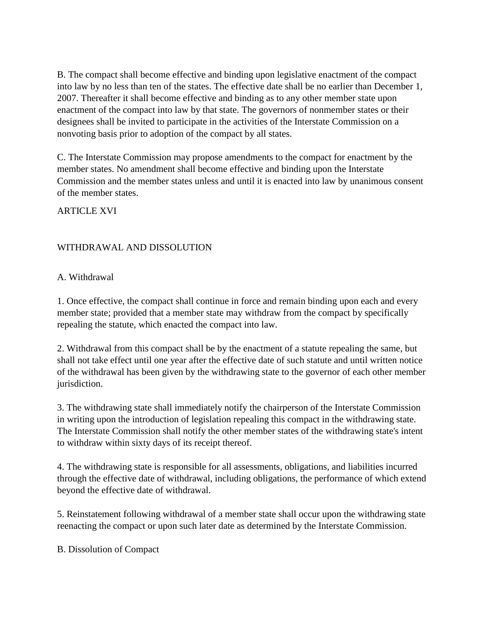B. The compact shall become effective and binding upon legislative enactment of the compact into law by no less than ten of the states. The effective date shall be no earlier than December 1, 2007. Thereafter it shall become effective and binding as to any other member state upon enactment of the compact into law by that state. The governors of nonmember states or their designees shall be invited to participate in the activities of the Interstate Commission on a nonvoting basis prior to adoption of the compact by all states.

C. The Interstate Commission may propose amendments to the compact for enactment by the member states. No amendment shall become effective and binding upon the Interstate Commission and the member states unless and until it is enacted into law by unanimous consent of the member states.

**ARTICLE XVI** 

## WITHDRAWAL AND DISSOLUTION

#### A. Withdrawal

1. Once effective, the compact shall continue in force and remain binding upon each and every member state; provided that a member state may withdraw from the compact by specifically repealing the statute, which enacted the compact into law.

2. Withdrawal from this compact shall be by the enactment of a statute repealing the same, but shall not take effect until one year after the effective date of such statute and until written notice of the withdrawal has been given by the withdrawing state to the governor of each other member jurisdiction.

3. The withdrawing state shall immediately notify the chairperson of the Interstate Commission in writing upon the introduction of legislation repealing this compact in the withdrawing state. The Interstate Commission shall notify the other member states of the withdrawing state's intent to withdraw within sixty days of its receipt thereof.

4. The withdrawing state is responsible for all assessments, obligations, and liabilities incurred through the effective date of withdrawal, including obligations, the performance of which extend beyond the effective date of withdrawal.

5. Reinstatement following withdrawal of a member state shall occur upon the withdrawing state reenacting the compact or upon such later date as determined by the Interstate Commission.

B. Dissolution of Compact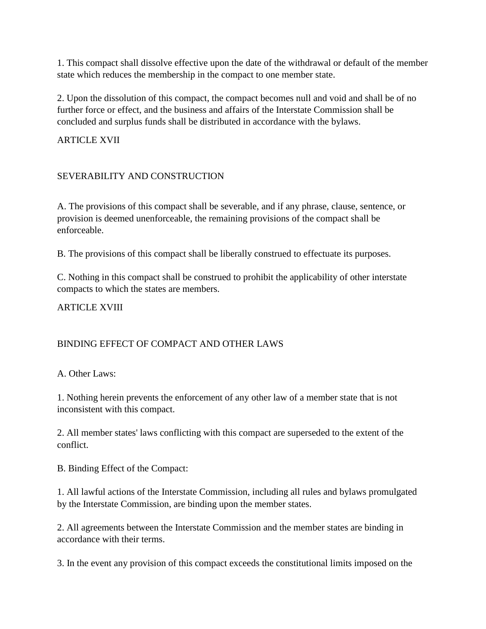1. This compact shall dissolve effective upon the date of the withdrawal or default of the member state which reduces the membership in the compact to one member state.

2. Upon the dissolution of this compact, the compact becomes null and void and shall be of no further force or effect, and the business and affairs of the Interstate Commission shall be concluded and surplus funds shall be distributed in accordance with the bylaws.

ARTICLE XVII

# SEVERABILITY AND CONSTRUCTION

A. The provisions of this compact shall be severable, and if any phrase, clause, sentence, or provision is deemed unenforceable, the remaining provisions of the compact shall be enforceable.

B. The provisions of this compact shall be liberally construed to effectuate its purposes.

C. Nothing in this compact shall be construed to prohibit the applicability of other interstate compacts to which the states are members.

## ARTICLE XVIII

# BINDING EFFECT OF COMPACT AND OTHER LAWS

A. Other Laws:

1. Nothing herein prevents the enforcement of any other law of a member state that is not inconsistent with this compact.

2. All member states' laws conflicting with this compact are superseded to the extent of the conflict.

B. Binding Effect of the Compact:

1. All lawful actions of the Interstate Commission, including all rules and bylaws promulgated by the Interstate Commission, are binding upon the member states.

2. All agreements between the Interstate Commission and the member states are binding in accordance with their terms.

3. In the event any provision of this compact exceeds the constitutional limits imposed on the